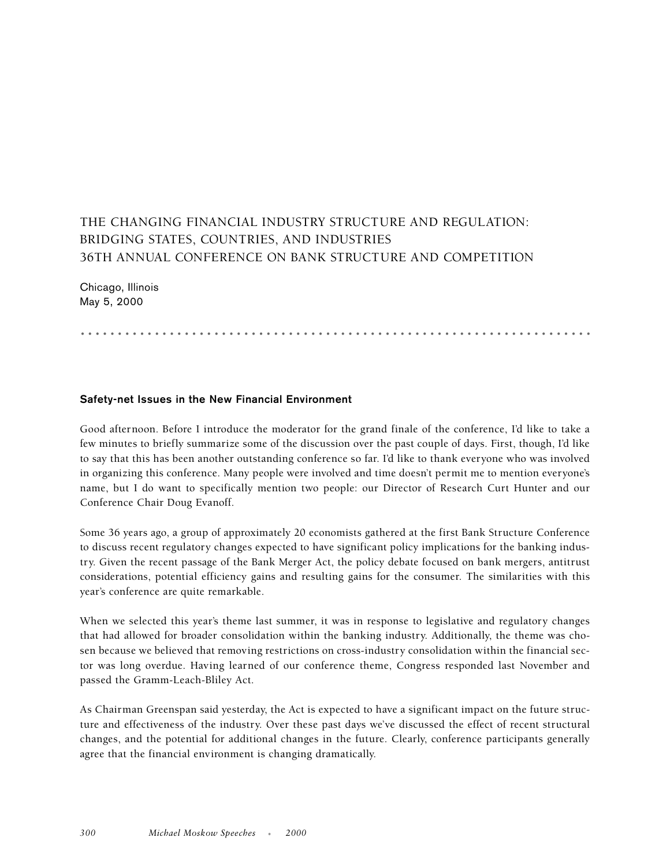## THE CHANGING FINANCIAL INDUSTRY STRUCTURE AND REGULATION: BRIDGING STATES, COUNTRIES, AND INDUSTRIES 36TH ANNUAL CONFERENCE ON BANK STRUCTURE AND COMPETITION

Chicago, Illinois May 5, 2000

.....................................................................

## **Safety-net Issues in the New Financial Environment**

Good afternoon. Before I introduce the moderator for the grand finale of the conference, I'd like to take a few minutes to briefly summarize some of the discussion over the past couple of days. First, though, I'd like to say that this has been another outstanding conference so far. I'd like to thank everyone who was involved in organizing this conference. Many people were involved and time doesn't permit me to mention everyone's name, but I do want to specifically mention two people: our Director of Research Curt Hunter and our Conference Chair Doug Evanoff.

Some 36 years ago, a group of approximately 20 economists gathered at the first Bank Structure Conference to discuss recent regulatory changes expected to have significant policy implications for the banking industry. Given the recent passage of the Bank Merger Act, the policy debate focused on bank mergers, antitrust considerations, potential efficiency gains and resulting gains for the consumer. The similarities with this year's conference are quite remarkable.

When we selected this year's theme last summer, it was in response to legislative and regulatory changes that had allowed for broader consolidation within the banking industry. Additionally, the theme was chosen because we believed that removing restrictions on cross-industry consolidation within the financial sector was long overdue. Having learned of our conference theme, Congress responded last November and passed the Gramm-Leach-Bliley Act.

As Chairman Greenspan said yesterday, the Act is expected to have a significant impact on the future structure and effectiveness of the industry. Over these past days we've discussed the effect of recent structural changes, and the potential for additional changes in the future. Clearly, conference participants generally agree that the financial environment is changing dramatically.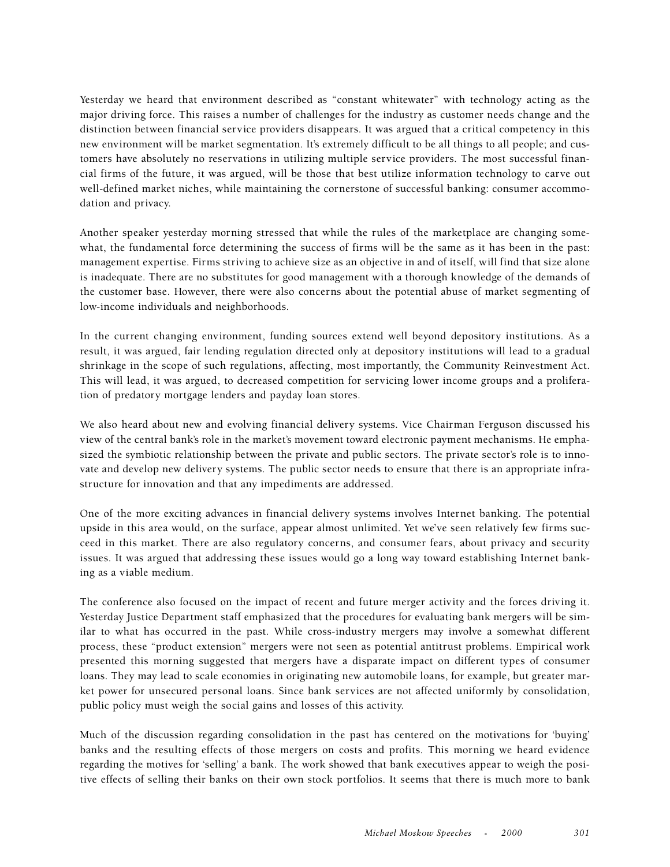Yesterday we heard that environment described as "constant whitewater" with technology acting as the major driving force. This raises a number of challenges for the industry as customer needs change and the distinction between financial service providers disappears. It was argued that a critical competency in this new environment will be market segmentation. It's extremely difficult to be all things to all people; and customers have absolutely no reservations in utilizing multiple service providers. The most successful financial firms of the future, it was argued, will be those that best utilize information technology to carve out well-defined market niches, while maintaining the cornerstone of successful banking: consumer accommodation and privacy.

Another speaker yesterday morning stressed that while the rules of the marketplace are changing somewhat, the fundamental force determining the success of firms will be the same as it has been in the past: management expertise. Firms striving to achieve size as an objective in and of itself, will find that size alone is inadequate. There are no substitutes for good management with a thorough knowledge of the demands of the customer base. However, there were also concerns about the potential abuse of market segmenting of low-income individuals and neighborhoods.

In the current changing environment, funding sources extend well beyond depository institutions. As a result, it was argued, fair lending regulation directed only at depository institutions will lead to a gradual shrinkage in the scope of such regulations, affecting, most importantly, the Community Reinvestment Act. This will lead, it was argued, to decreased competition for servicing lower income groups and a proliferation of predatory mortgage lenders and payday loan stores.

We also heard about new and evolving financial delivery systems. Vice Chairman Ferguson discussed his view of the central bank's role in the market's movement toward electronic payment mechanisms. He emphasized the symbiotic relationship between the private and public sectors. The private sector's role is to innovate and develop new delivery systems. The public sector needs to ensure that there is an appropriate infrastructure for innovation and that any impediments are addressed.

One of the more exciting advances in financial delivery systems involves Internet banking. The potential upside in this area would, on the surface, appear almost unlimited. Yet we've seen relatively few firms succeed in this market. There are also regulatory concerns, and consumer fears, about privacy and security issues. It was argued that addressing these issues would go a long way toward establishing Internet banking as a viable medium.

The conference also focused on the impact of recent and future merger activity and the forces driving it. Yesterday Justice Department staff emphasized that the procedures for evaluating bank mergers will be similar to what has occurred in the past. While cross-industry mergers may involve a somewhat different process, these "product extension" mergers were not seen as potential antitrust problems. Empirical work presented this morning suggested that mergers have a disparate impact on different types of consumer loans. They may lead to scale economies in originating new automobile loans, for example, but greater market power for unsecured personal loans. Since bank services are not affected uniformly by consolidation, public policy must weigh the social gains and losses of this activity.

Much of the discussion regarding consolidation in the past has centered on the motivations for 'buying' banks and the resulting effects of those mergers on costs and profits. This morning we heard evidence regarding the motives for 'selling' a bank. The work showed that bank executives appear to weigh the positive effects of selling their banks on their own stock portfolios. It seems that there is much more to bank